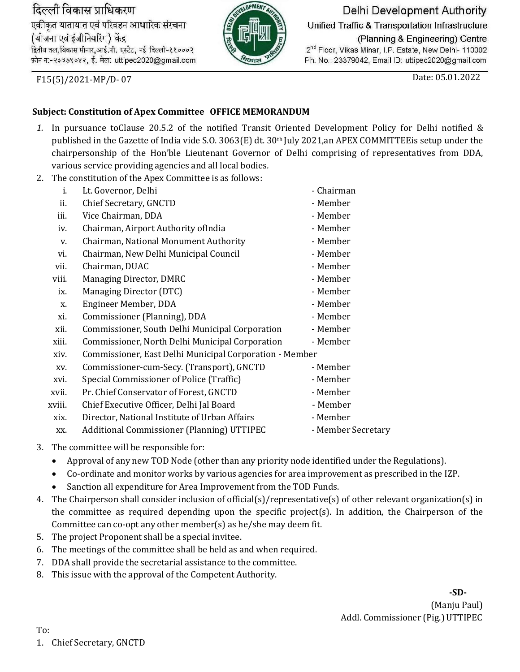दिल्ली विकास प्राधिकरण

एकीकृत यातायात एवं परिवहन आधारिक संरचना (योजना एवं इंजीनियरिंग) केंद्र द्वितीय तल, विकास मीनार, आई.पी. एस्टेट, नई दिल्ली-११०००२ फ़ोन न:-२३३७९०४२, ई. मेल: uttipec2020@gmail.com



Delhi Development Authority

Unified Traffic & Transportation Infrastructure

(Planning & Engineering) Centre 2<sup>nd</sup> Floor, Vikas Minar, I.P. Estate, New Delhi- 110002 Ph. No.: 23379042, Email ID: uttipec2020@gmail.com

F15(5)/2021-MP/D- 07

## Date: 05.01.2022

## **Subject: Constitution of Apex Committee OFFICE MEMORANDUM**

- *1.* In pursuance toClause 20.5.2 of the notified Transit Oriented Development Policy for Delhi notified & published in the Gazette of India vide S.O. 3063(E) dt. 30th July 2021,an APEX COMMITTEEis setup under the chairpersonship of the Hon'ble Lieutenant Governor of Delhi comprising of representatives from DDA, various service providing agencies and all local bodies*.*
- 2. The constitution of the Apex Committee is as follows:

|        | conotication of the ripen committee is as follows!      |                    |
|--------|---------------------------------------------------------|--------------------|
| i.     | Lt. Governor, Delhi                                     | - Chairman         |
| ii.    | Chief Secretary, GNCTD                                  | - Member           |
| iii.   | Vice Chairman, DDA                                      | - Member           |
| iv.    | Chairman, Airport Authority ofIndia                     | - Member           |
| V.     | Chairman, National Monument Authority                   | - Member           |
| vi.    | Chairman, New Delhi Municipal Council                   | - Member           |
| vii.   | Chairman, DUAC                                          | - Member           |
| viii.  | Managing Director, DMRC                                 | - Member           |
| ix.    | Managing Director (DTC)                                 | - Member           |
| X.     | Engineer Member, DDA                                    | - Member           |
| xi.    | Commissioner (Planning), DDA                            | - Member           |
| xii.   | Commissioner, South Delhi Municipal Corporation         | - Member           |
| xiii.  | Commissioner, North Delhi Municipal Corporation         | - Member           |
| xiv.   | Commissioner, East Delhi Municipal Corporation - Member |                    |
| XV.    | Commissioner-cum-Secy. (Transport), GNCTD               | - Member           |
| xvi.   | Special Commissioner of Police (Traffic)                | - Member           |
| xvii.  | Pr. Chief Conservator of Forest, GNCTD                  | - Member           |
| xviii. | Chief Executive Officer, Delhi Jal Board                | - Member           |
| xix.   | Director, National Institute of Urban Affairs           | - Member           |
| XX.    | Additional Commissioner (Planning) UTTIPEC              | - Member Secretary |

- 3. The committee will be responsible for:
	- Approval of any new TOD Node (other than any priority node identified under the Regulations).
	- Co-ordinate and monitor works by various agencies for area improvement as prescribed in the IZP.
	- Sanction all expenditure for Area Improvement from the TOD Funds.
- 4. The Chairperson shall consider inclusion of official(s)/representative(s) of other relevant organization(s) in the committee as required depending upon the specific project(s). In addition, the Chairperson of the Committee can co-opt any other member(s) as he/she may deem fit.
- 5. The project Proponent shall be a special invitee.
- 6. The meetings of the committee shall be held as and when required.
- 7. DDA shall provide the secretarial assistance to the committee.
- 8. This issue with the approval of the Competent Authority.

**-SD-** (Manju Paul) Addl. Commissioner (Pig.) UTTIPEC